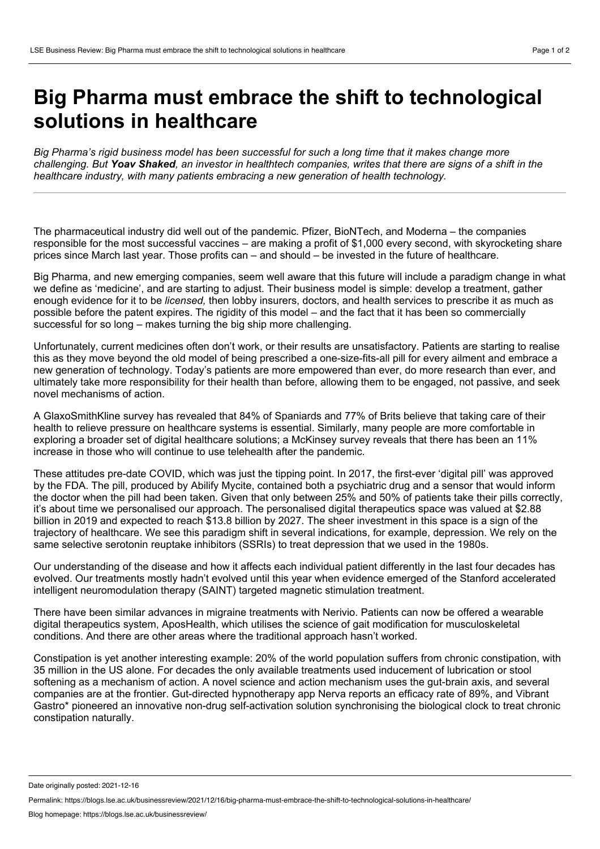## **Big Pharma must embrace the shift to technological solutions in healthcare**

Big Pharma's rigid business model has been successful for such a long time that it makes change more challenging. But Yoav Shaked, an investor in healthtech companies, writes that there are signs of a shift in the *healthcare industry, with many patients embracing a new generation of health technology.*

The pharmaceutical industry did well out of the pandemic. Pfizer, BioNTech, and Moderna – the companies responsible for the most successful vaccines – are making a profit of \$1,000 every second, with skyrocketing share prices since March last year. Those profits can – and should – be invested in the future of healthcare.

Big Pharma, and new emerging companies, seem wellaware that this future will include a paradigm change in what we define as 'medicine', and are starting to adjust. Their business model is simple: develop a treatment, gather enough evidence for it to be *licensed,* then lobby insurers, doctors, and health services to prescribe it as much as possible before the patent expires. The rigidity of this model – and the fact that it has been so commercially successful for so long – makes turning the big ship more challenging.

Unfortunately, current medicines often don't work, or their results are unsatisfactory. Patients are starting to realise this as they move beyond the old model of being prescribed a one-size-fits-all pill for every ailment and embrace a new generation of technology. Today's patients are more empowered than ever, do more research than ever, and ultimately take more responsibility for their health than before, allowing them to be engaged, not passive, and seek novel mechanisms of action.

A GlaxoSmithKline survey has revealed that 84% of Spaniards and 77% of Brits believe that taking care of their health to relieve pressure on healthcare systems is essential. Similarly, many people are more comfortable in exploring a broader set of digital healthcare solutions; a McKinsey survey reveals that there has been an 11% increase in those who will continue to use telehealth after the pandemic.

These attitudes pre-date COVID, which was just the tipping point. In 2017, the first-ever 'digital pill' was approved by the FDA. The pill, produced by Abilify Mycite, contained both a psychiatric drug and a sensor that would inform the doctor when the pill had been taken. Given that only between 25% and 50% of patients take their pills correctly, it's about time we personalised our approach. The personalised digital therapeutics space was valued at \$2.88 billion in 2019 and expected to reach \$13.8 billion by 2027. The sheer investment in this space is a sign of the trajectory of healthcare. We see this paradigm shift in several indications, for example, depression. We rely on the same selective serotonin reuptake inhibitors (SSRIs) to treat depression that we used in the 1980s.

Our understanding of the disease and how it affects each individual patient differently in the last four decades has evolved. Our treatments mostly hadn't evolved until this year when evidence emerged of the Stanford accelerated intelligent neuromodulation therapy (SAINT) targeted magnetic stimulation treatment.

There have been similar advances in migraine treatments with Nerivio. Patients can now be offered a wearable digital therapeutics system, AposHealth, which utilises the science of gait modification for musculoskeletal conditions. And there are other areas where the traditional approach hasn't worked.

Constipation is yet another interesting example: 20% of the world population suffers from chronic constipation, with 35 million in the US alone. For decades the only available treatments used inducement of lubrication or stool softening as a mechanism of action. A novel science and action mechanism uses the gut-brain axis, and several companies are at the frontier. Gut-directed hypnotherapy app Nerva reports an efficacy rate of 89%, and Vibrant Gastro\* pioneered an innovative non-drug self-activation solution synchronising the biological clock to treat chronic constipation naturally.

Date originally posted: 2021-12-16

Permalink: https://blogs.lse.ac.uk/businessreview/2021/12/16/big-pharma-must-embrace-the-shift-to-technological-solutions-in-healthcare/